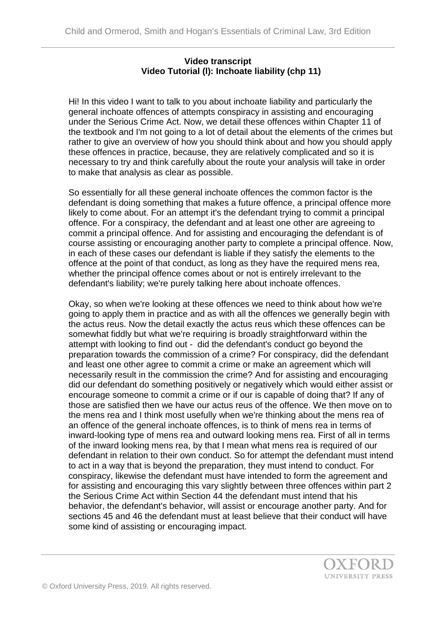## **Video transcript Video Tutorial (l): Inchoate liability (chp 11)**

Hi! In this video I want to talk to you about inchoate liability and particularly the general inchoate offences of attempts conspiracy in assisting and encouraging under the Serious Crime Act. Now, we detail these offences within Chapter 11 of the textbook and I'm not going to a lot of detail about the elements of the crimes but rather to give an overview of how you should think about and how you should apply these offences in practice, because, they are relatively complicated and so it is necessary to try and think carefully about the route your analysis will take in order to make that analysis as clear as possible.

So essentially for all these general inchoate offences the common factor is the defendant is doing something that makes a future offence, a principal offence more likely to come about. For an attempt it's the defendant trying to commit a principal offence. For a conspiracy, the defendant and at least one other are agreeing to commit a principal offence. And for assisting and encouraging the defendant is of course assisting or encouraging another party to complete a principal offence. Now, in each of these cases our defendant is liable if they satisfy the elements to the offence at the point of that conduct, as long as they have the required mens rea, whether the principal offence comes about or not is entirely irrelevant to the defendant's liability; we're purely talking here about inchoate offences.

Okay, so when we're looking at these offences we need to think about how we're going to apply them in practice and as with all the offences we generally begin with the actus reus. Now the detail exactly the actus reus which these offences can be somewhat fiddly but what we're requiring is broadly straightforward within the attempt with looking to find out - did the defendant's conduct go beyond the preparation towards the commission of a crime? For conspiracy, did the defendant and least one other agree to commit a crime or make an agreement which will necessarily result in the commission the crime? And for assisting and encouraging did our defendant do something positively or negatively which would either assist or encourage someone to commit a crime or if our is capable of doing that? If any of those are satisfied then we have our actus reus of the offence. We then move on to the mens rea and I think most usefully when we're thinking about the mens rea of an offence of the general inchoate offences, is to think of mens rea in terms of inward-looking type of mens rea and outward looking mens rea. First of all in terms of the inward looking mens rea, by that I mean what mens rea is required of our defendant in relation to their own conduct. So for attempt the defendant must intend to act in a way that is beyond the preparation, they must intend to conduct. For conspiracy, likewise the defendant must have intended to form the agreement and for assisting and encouraging this vary slightly between three offences within part 2 the Serious Crime Act within Section 44 the defendant must intend that his behavior, the defendant's behavior, will assist or encourage another party. And for sections 45 and 46 the defendant must at least believe that their conduct will have some kind of assisting or encouraging impact.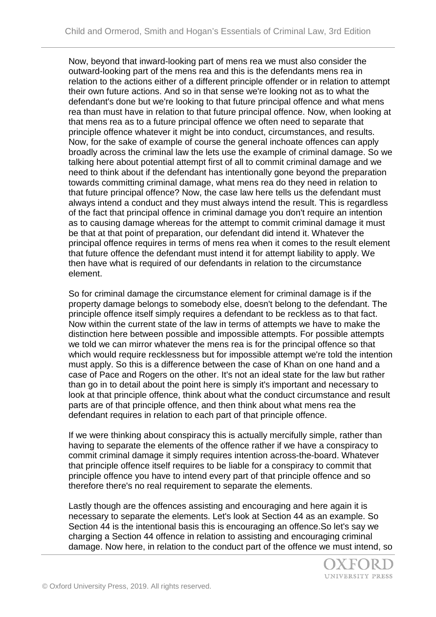Now, beyond that inward-looking part of mens rea we must also consider the outward-looking part of the mens rea and this is the defendants mens rea in relation to the actions either of a different principle offender or in relation to attempt their own future actions. And so in that sense we're looking not as to what the defendant's done but we're looking to that future principal offence and what mens rea than must have in relation to that future principal offence. Now, when looking at that mens rea as to a future principal offence we often need to separate that principle offence whatever it might be into conduct, circumstances, and results. Now, for the sake of example of course the general inchoate offences can apply broadly across the criminal law the lets use the example of criminal damage. So we talking here about potential attempt first of all to commit criminal damage and we need to think about if the defendant has intentionally gone beyond the preparation towards committing criminal damage, what mens rea do they need in relation to that future principal offence? Now, the case law here tells us the defendant must always intend a conduct and they must always intend the result. This is regardless of the fact that principal offence in criminal damage you don't require an intention as to causing damage whereas for the attempt to commit criminal damage it must be that at that point of preparation, our defendant did intend it. Whatever the principal offence requires in terms of mens rea when it comes to the result element that future offence the defendant must intend it for attempt liability to apply. We then have what is required of our defendants in relation to the circumstance element.

So for criminal damage the circumstance element for criminal damage is if the property damage belongs to somebody else, doesn't belong to the defendant. The principle offence itself simply requires a defendant to be reckless as to that fact. Now within the current state of the law in terms of attempts we have to make the distinction here between possible and impossible attempts. For possible attempts we told we can mirror whatever the mens rea is for the principal offence so that which would require recklessness but for impossible attempt we're told the intention must apply. So this is a difference between the case of Khan on one hand and a case of Pace and Rogers on the other. It's not an ideal state for the law but rather than go in to detail about the point here is simply it's important and necessary to look at that principle offence, think about what the conduct circumstance and result parts are of that principle offence, and then think about what mens rea the defendant requires in relation to each part of that principle offence.

If we were thinking about conspiracy this is actually mercifully simple, rather than having to separate the elements of the offence rather if we have a conspiracy to commit criminal damage it simply requires intention across-the-board. Whatever that principle offence itself requires to be liable for a conspiracy to commit that principle offence you have to intend every part of that principle offence and so therefore there's no real requirement to separate the elements.

Lastly though are the offences assisting and encouraging and here again it is necessary to separate the elements. Let's look at Section 44 as an example. So Section 44 is the intentional basis this is encouraging an offence.So let's say we charging a Section 44 offence in relation to assisting and encouraging criminal damage. Now here, in relation to the conduct part of the offence we must intend, so